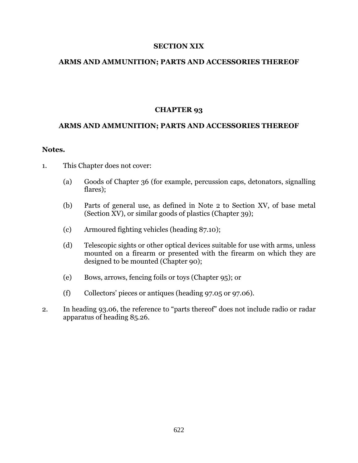## **SECTION XIX**

## **ARMS AND AMMUNITION; PARTS AND ACCESSORIES THEREOF**

# **CHAPTER 93**

## **ARMS AND AMMUNITION; PARTS AND ACCESSORIES THEREOF**

#### **Notes.**

- 1. This Chapter does not cover:
	- (a) Goods of Chapter 36 (for example, percussion caps, detonators, signalling flares);
	- (b) Parts of general use, as defined in Note 2 to Section XV, of base metal (Section XV), or similar goods of plastics (Chapter 39);
	- (c) Armoured fighting vehicles (heading 87.10);
	- (d) Telescopic sights or other optical devices suitable for use with arms, unless mounted on a firearm or presented with the firearm on which they are designed to be mounted (Chapter 90);
	- (e) Bows, arrows, fencing foils or toys (Chapter 95); or
	- (f) Collectors' pieces or antiques (heading 97.05 or 97.06).
- 2. In heading 93.06, the reference to "parts thereof" does not include radio or radar apparatus of heading 85.26.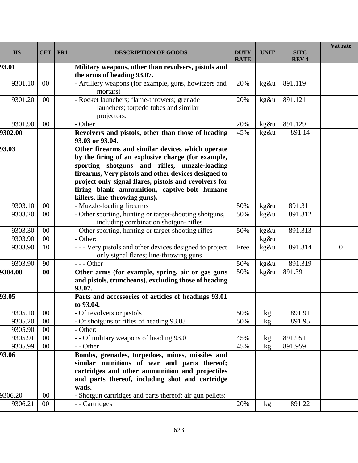| <b>HS</b> | <b>CET</b> | PR1 | <b>DESCRIPTION OF GOODS</b>                                                                                                                                                                                                                                                                                                                              | <b>DUTY</b><br><b>RATE</b> | <b>UNIT</b> | <b>SITC</b><br><b>REV4</b> | Vat rate |
|-----------|------------|-----|----------------------------------------------------------------------------------------------------------------------------------------------------------------------------------------------------------------------------------------------------------------------------------------------------------------------------------------------------------|----------------------------|-------------|----------------------------|----------|
| 93.01     |            |     | Military weapons, other than revolvers, pistols and<br>the arms of heading 93.07.                                                                                                                                                                                                                                                                        |                            |             |                            |          |
| 9301.10   | $00\,$     |     | - Artillery weapons (for example, guns, howitzers and<br>mortars)                                                                                                                                                                                                                                                                                        | 20%                        | kg&u        | 891.119                    |          |
| 9301.20   | $00\,$     |     | - Rocket launchers; flame-throwers; grenade<br>launchers; torpedo tubes and similar<br>projectors.                                                                                                                                                                                                                                                       | 20%                        | kg&u        | 891.121                    |          |
| 9301.90   | 00         |     | - Other                                                                                                                                                                                                                                                                                                                                                  | 20%                        | kg&u        | 891.129                    |          |
| 9302.00   |            |     | Revolvers and pistols, other than those of heading<br>93.03 or 93.04.                                                                                                                                                                                                                                                                                    | 45%                        | kg&u        | 891.14                     |          |
| 93.03     |            |     | Other firearms and similar devices which operate<br>by the firing of an explosive charge (for example,<br>sporting shotguns and rifles, muzzle-loading<br>firearms, Very pistols and other devices designed to<br>project only signal flares, pistols and revolvers for<br>firing blank ammunition, captive-bolt humane<br>killers, line-throwing guns). |                            |             |                            |          |
| 9303.10   | 00         |     | - Muzzle-loading firearms                                                                                                                                                                                                                                                                                                                                | 50%                        | kg&u        | 891.311                    |          |
| 9303.20   | 00         |     | - Other sporting, hunting or target-shooting shotguns,<br>including combination shotgun-rifles                                                                                                                                                                                                                                                           | 50%                        | kg&u        | 891.312                    |          |
| 9303.30   | $00\,$     |     | - Other sporting, hunting or target-shooting rifles                                                                                                                                                                                                                                                                                                      | 50%                        | kg&u        | 891.313                    |          |
| 9303.90   | 00         |     | - Other:                                                                                                                                                                                                                                                                                                                                                 |                            | kg&u        |                            |          |
| 9303.90   | 10         |     | - - - Very pistols and other devices designed to project<br>only signal flares; line-throwing guns                                                                                                                                                                                                                                                       | Free                       | kg&u        | 891.314                    | $\Omega$ |
| 9303.90   | 90         |     | $--$ Other                                                                                                                                                                                                                                                                                                                                               | 50%                        | kg&u        | 891.319                    |          |
| 9304.00   | 00         |     | Other arms (for example, spring, air or gas guns<br>and pistols, truncheons), excluding those of heading<br>93.07.                                                                                                                                                                                                                                       | 50%                        | kg&u        | 891.39                     |          |
| 93.05     |            |     | Parts and accessories of articles of headings 93.01<br>to 93.04.                                                                                                                                                                                                                                                                                         |                            |             |                            |          |
| 9305.10   | $00\,$     |     | - Of revolvers or pistols                                                                                                                                                                                                                                                                                                                                | 50%                        | kg          | 891.91                     |          |
| 9305.20   | 00         |     | - Of shotguns or rifles of heading 93.03                                                                                                                                                                                                                                                                                                                 | 50%                        | kg          | 891.95                     |          |
| 9305.90   | 00         |     | - Other:                                                                                                                                                                                                                                                                                                                                                 |                            |             |                            |          |
| 9305.91   | 00         |     | - - Of military weapons of heading 93.01                                                                                                                                                                                                                                                                                                                 | 45%                        | kg          | 891.951                    |          |
| 9305.99   | $00\,$     |     | - - Other                                                                                                                                                                                                                                                                                                                                                | 45%                        | kg          | 891.959                    |          |
| 93.06     |            |     | Bombs, grenades, torpedoes, mines, missiles and<br>similar munitions of war and parts thereof;<br>cartridges and other ammunition and projectiles<br>and parts thereof, including shot and cartridge<br>wads.                                                                                                                                            |                            |             |                            |          |
| 9306.20   | 00         |     | - Shotgun cartridges and parts thereof; air gun pellets:                                                                                                                                                                                                                                                                                                 |                            |             |                            |          |
| 9306.21   | $00\,$     |     | - - Cartridges                                                                                                                                                                                                                                                                                                                                           | 20%                        | kg          | 891.22                     |          |